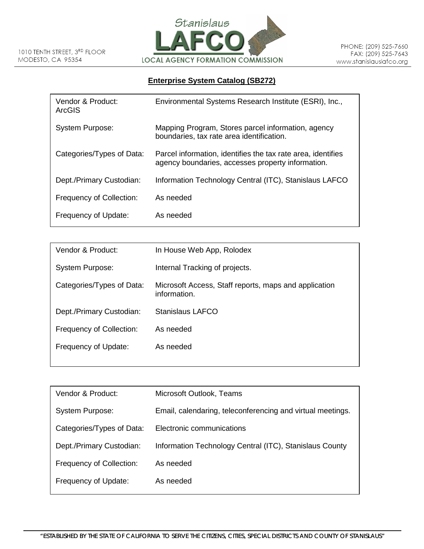

## **Enterprise System Catalog (SB272)**

| Vendor & Product:<br>ArcGIS | Environmental Systems Research Institute (ESRI), Inc.,                                                            |
|-----------------------------|-------------------------------------------------------------------------------------------------------------------|
| System Purpose:             | Mapping Program, Stores parcel information, agency<br>boundaries, tax rate area identification.                   |
| Categories/Types of Data:   | Parcel information, identifies the tax rate area, identifies<br>agency boundaries, accesses property information. |
| Dept./Primary Custodian:    | Information Technology Central (ITC), Stanislaus LAFCO                                                            |
| Frequency of Collection:    | As needed                                                                                                         |
| Frequency of Update:        | As needed                                                                                                         |

| In House Web App, Rolodex                                             |
|-----------------------------------------------------------------------|
| Internal Tracking of projects.                                        |
| Microsoft Access, Staff reports, maps and application<br>information. |
| Stanislaus LAFCO                                                      |
| As needed                                                             |
| As needed                                                             |
|                                                                       |

| Vendor & Product:         | Microsoft Outlook, Teams                                   |
|---------------------------|------------------------------------------------------------|
| System Purpose:           | Email, calendaring, teleconferencing and virtual meetings. |
| Categories/Types of Data: | Electronic communications                                  |
| Dept./Primary Custodian:  | Information Technology Central (ITC), Stanislaus County    |
| Frequency of Collection:  | As needed                                                  |
| Frequency of Update:      | As needed                                                  |
|                           |                                                            |